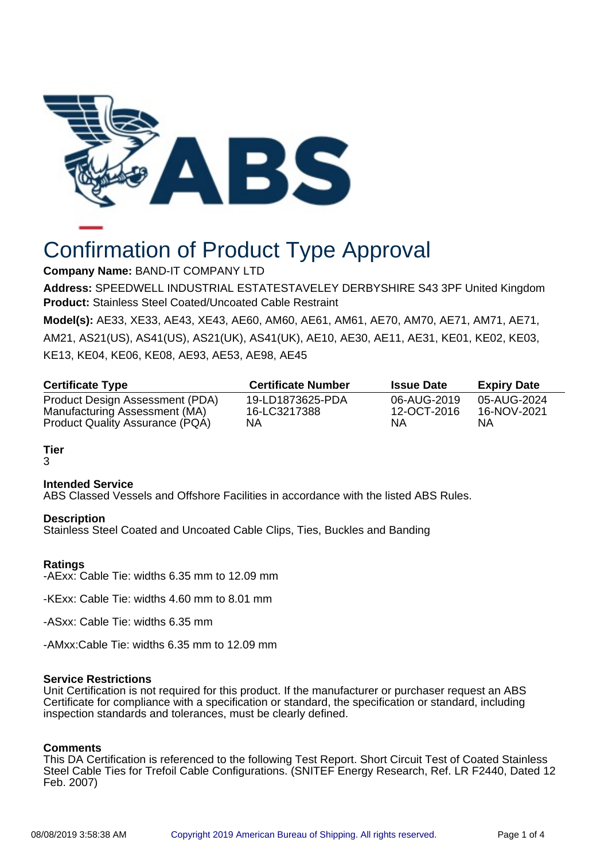

# Confirmation of Product Type Approval

**Company Name:** BAND-IT COMPANY LTD

**Address:** SPEEDWELL INDUSTRIAL ESTATESTAVELEY DERBYSHIRE S43 3PF United Kingdom **Product:** Stainless Steel Coated/Uncoated Cable Restraint

**Model(s):** AE33, XE33, AE43, XE43, AE60, AM60, AE61, AM61, AE70, AM70, AE71, AM71, AE71, AM21, AS21(US), AS41(US), AS21(UK), AS41(UK), AE10, AE30, AE11, AE31, KE01, KE02, KE03, KE13, KE04, KE06, KE08, AE93, AE53, AE98, AE45

| <b>Certificate Type</b>         | <b>Certificate Number</b> | <b>Issue Date</b> | <b>Expiry Date</b> |
|---------------------------------|---------------------------|-------------------|--------------------|
| Product Design Assessment (PDA) | 19-LD1873625-PDA          | 06-AUG-2019       | 05-AUG-2024        |
| Manufacturing Assessment (MA)   | 16-LC3217388              | 12-OCT-2016       | 16-NOV-2021        |
| Product Quality Assurance (PQA) | NΑ                        | ΝA                | ΝA                 |

**Tier**

# 3

#### **Intended Service**

ABS Classed Vessels and Offshore Facilities in accordance with the listed ABS Rules.

#### **Description**

Stainless Steel Coated and Uncoated Cable Clips, Ties, Buckles and Banding

## **Ratings**

-AExx: Cable Tie: widths 6.35 mm to 12.09 mm

-KExx: Cable Tie: widths 4.60 mm to 8.01 mm

-ASxx: Cable Tie: widths 6.35 mm

-AMxx:Cable Tie: widths 6.35 mm to 12.09 mm

#### **Service Restrictions**

Unit Certification is not required for this product. If the manufacturer or purchaser request an ABS Certificate for compliance with a specification or standard, the specification or standard, including inspection standards and tolerances, must be clearly defined.

#### **Comments**

This DA Certification is referenced to the following Test Report. Short Circuit Test of Coated Stainless Steel Cable Ties for Trefoil Cable Configurations. (SNITEF Energy Research, Ref. LR F2440, Dated 12 Feb. 2007)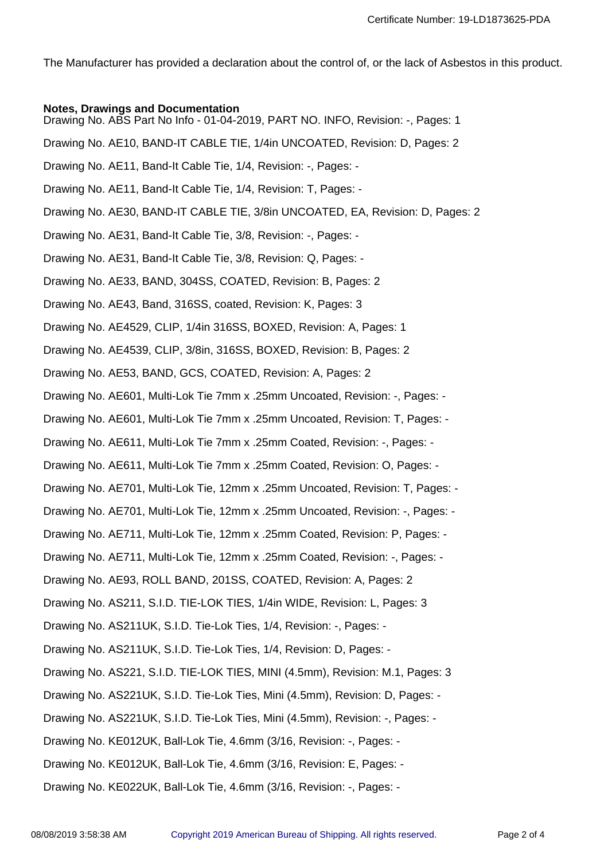The Manufacturer has provided a declaration about the control of, or the lack of Asbestos in this product.

# **Notes, Drawings and Documentation**

Drawing No. ABS Part No Info - 01-04-2019, PART NO. INFO, Revision: -, Pages: 1

Drawing No. AE10, BAND-IT CABLE TIE, 1/4in UNCOATED, Revision: D, Pages: 2

Drawing No. AE11, Band-It Cable Tie, 1/4, Revision: -, Pages: -

Drawing No. AE11, Band-It Cable Tie, 1/4, Revision: T, Pages: -

Drawing No. AE30, BAND-IT CABLE TIE, 3/8in UNCOATED, EA, Revision: D, Pages: 2

Drawing No. AE31, Band-It Cable Tie, 3/8, Revision: -, Pages: -

Drawing No. AE31, Band-It Cable Tie, 3/8, Revision: Q, Pages: -

Drawing No. AE33, BAND, 304SS, COATED, Revision: B, Pages: 2

Drawing No. AE43, Band, 316SS, coated, Revision: K, Pages: 3

Drawing No. AE4529, CLIP, 1/4in 316SS, BOXED, Revision: A, Pages: 1

Drawing No. AE4539, CLIP, 3/8in, 316SS, BOXED, Revision: B, Pages: 2

Drawing No. AE53, BAND, GCS, COATED, Revision: A, Pages: 2

Drawing No. AE601, Multi-Lok Tie 7mm x .25mm Uncoated, Revision: -, Pages: -

Drawing No. AE601, Multi-Lok Tie 7mm x .25mm Uncoated, Revision: T, Pages: -

Drawing No. AE611, Multi-Lok Tie 7mm x .25mm Coated, Revision: -, Pages: -

Drawing No. AE611, Multi-Lok Tie 7mm x .25mm Coated, Revision: O, Pages: -

Drawing No. AE701, Multi-Lok Tie, 12mm x .25mm Uncoated, Revision: T, Pages: -

Drawing No. AE701, Multi-Lok Tie, 12mm x .25mm Uncoated, Revision: -, Pages: -

Drawing No. AE711, Multi-Lok Tie, 12mm x .25mm Coated, Revision: P, Pages: -

Drawing No. AE711, Multi-Lok Tie, 12mm x .25mm Coated, Revision: -, Pages: -

Drawing No. AE93, ROLL BAND, 201SS, COATED, Revision: A, Pages: 2

Drawing No. AS211, S.I.D. TIE-LOK TIES, 1/4in WIDE, Revision: L, Pages: 3

Drawing No. AS211UK, S.I.D. Tie-Lok Ties, 1/4, Revision: -, Pages: -

Drawing No. AS211UK, S.I.D. Tie-Lok Ties, 1/4, Revision: D, Pages: -

Drawing No. AS221, S.I.D. TIE-LOK TIES, MINI (4.5mm), Revision: M.1, Pages: 3

Drawing No. AS221UK, S.I.D. Tie-Lok Ties, Mini (4.5mm), Revision: D, Pages: -

Drawing No. AS221UK, S.I.D. Tie-Lok Ties, Mini (4.5mm), Revision: -, Pages: -

Drawing No. KE012UK, Ball-Lok Tie, 4.6mm (3/16, Revision: -, Pages: -

Drawing No. KE012UK, Ball-Lok Tie, 4.6mm (3/16, Revision: E, Pages: -

Drawing No. KE022UK, Ball-Lok Tie, 4.6mm (3/16, Revision: -, Pages: -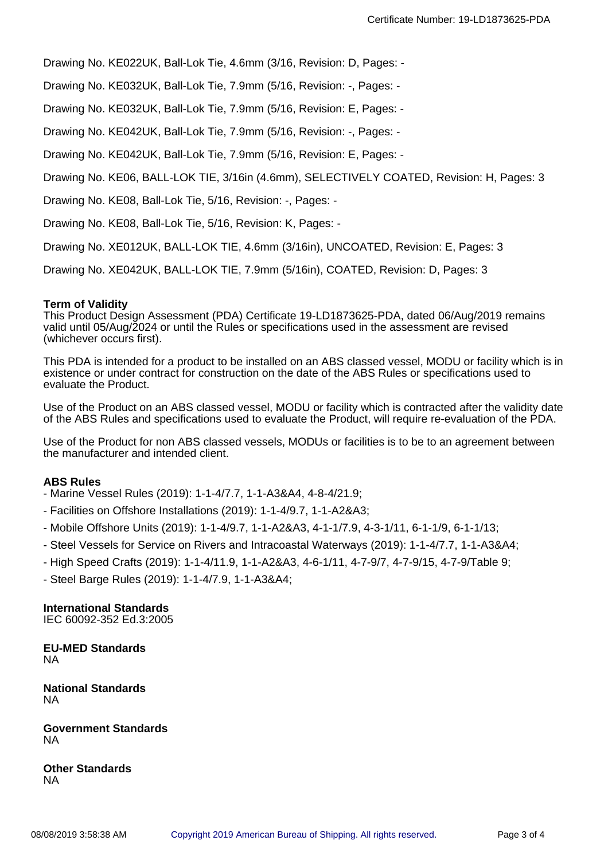Drawing No. KE022UK, Ball-Lok Tie, 4.6mm (3/16, Revision: D, Pages: -

Drawing No. KE032UK, Ball-Lok Tie, 7.9mm (5/16, Revision: -, Pages: -

Drawing No. KE032UK, Ball-Lok Tie, 7.9mm (5/16, Revision: E, Pages: -

Drawing No. KE042UK, Ball-Lok Tie, 7.9mm (5/16, Revision: -, Pages: -

Drawing No. KE042UK, Ball-Lok Tie, 7.9mm (5/16, Revision: E, Pages: -

Drawing No. KE06, BALL-LOK TIE, 3/16in (4.6mm), SELECTIVELY COATED, Revision: H, Pages: 3

Drawing No. KE08, Ball-Lok Tie, 5/16, Revision: -, Pages: -

Drawing No. KE08, Ball-Lok Tie, 5/16, Revision: K, Pages: -

Drawing No. XE012UK, BALL-LOK TIE, 4.6mm (3/16in), UNCOATED, Revision: E, Pages: 3

Drawing No. XE042UK, BALL-LOK TIE, 7.9mm (5/16in), COATED, Revision: D, Pages: 3

#### **Term of Validity**

This Product Design Assessment (PDA) Certificate 19-LD1873625-PDA, dated 06/Aug/2019 remains valid until 05/Aug/2024 or until the Rules or specifications used in the assessment are revised (whichever occurs first).

This PDA is intended for a product to be installed on an ABS classed vessel, MODU or facility which is in existence or under contract for construction on the date of the ABS Rules or specifications used to evaluate the Product.

Use of the Product on an ABS classed vessel, MODU or facility which is contracted after the validity date of the ABS Rules and specifications used to evaluate the Product, will require re-evaluation of the PDA.

Use of the Product for non ABS classed vessels, MODUs or facilities is to be to an agreement between the manufacturer and intended client.

#### **ABS Rules**

- Marine Vessel Rules (2019): 1-1-4/7.7, 1-1-A3&A4, 4-8-4/21.9;
- Facilities on Offshore Installations (2019): 1-1-4/9.7, 1-1-A2&A3;
- Mobile Offshore Units (2019): 1-1-4/9.7, 1-1-A2&A3, 4-1-1/7.9, 4-3-1/11, 6-1-1/9, 6-1-1/13;
- Steel Vessels for Service on Rivers and Intracoastal Waterways (2019): 1-1-4/7.7, 1-1-A3&A4;
- High Speed Crafts (2019): 1-1-4/11.9, 1-1-A2&A3, 4-6-1/11, 4-7-9/7, 4-7-9/15, 4-7-9/Table 9;
- Steel Barge Rules (2019): 1-1-4/7.9, 1-1-A3&A4;

## **International Standards**

IEC 60092-352 Ed.3:2005

**EU-MED Standards** NA

**National Standards** NA

**Government Standards** NA

**Other Standards** NA